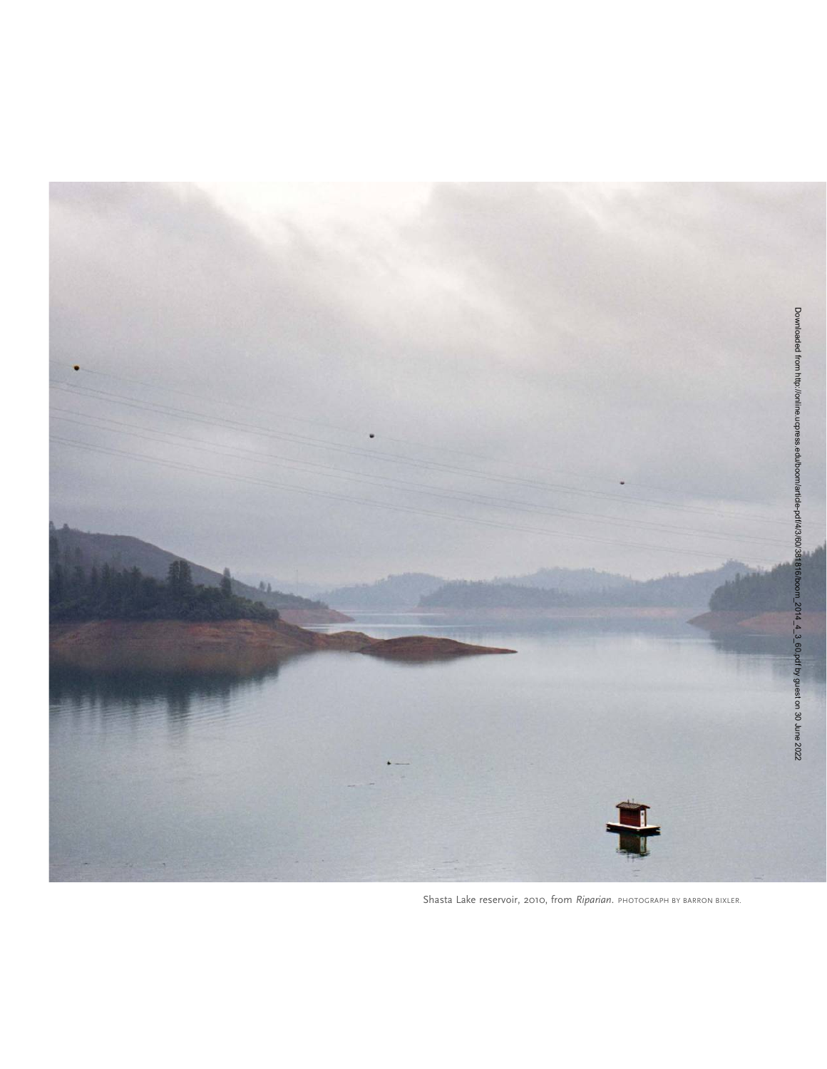

Shasta Lake reservoir, 2010, from Riparian. PHOTOGRAPH BY BARRON BIXLER.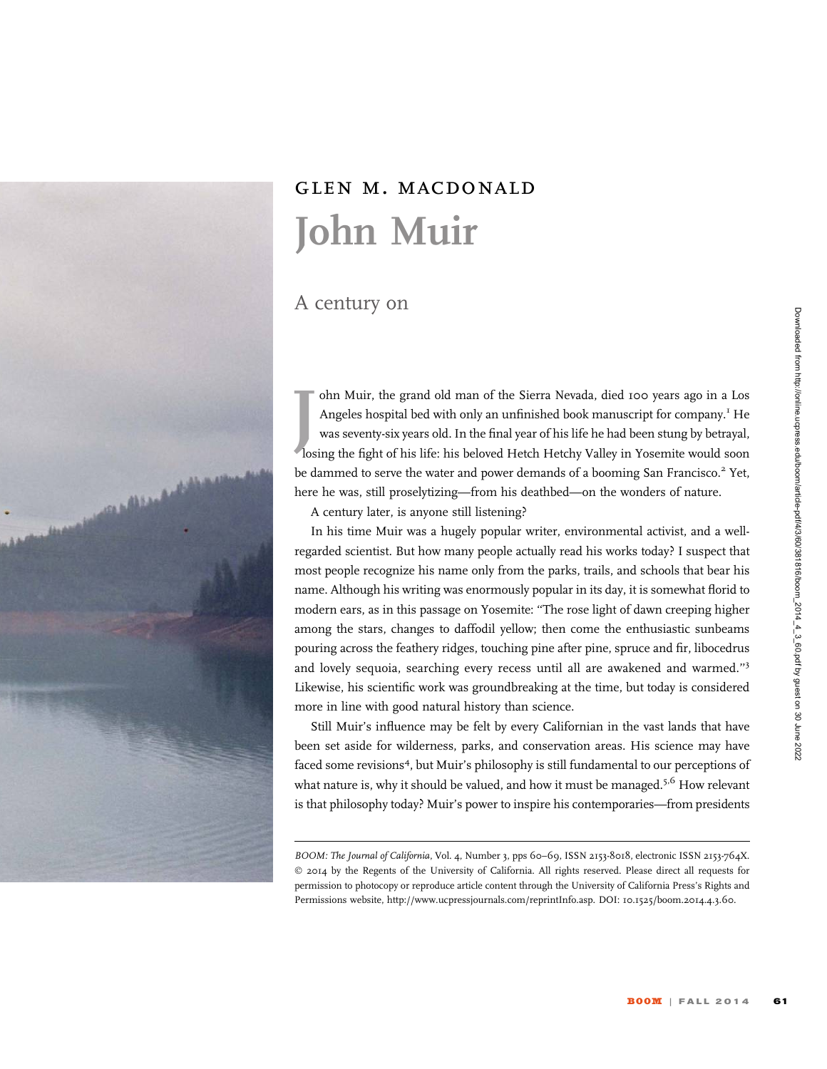

Downloaded from http://online.ucpress.edu/boom/article-pdf4/3/60/381816/boom\_2014\_4\_3\_60.pdf by guest on 30 June 2022 Downloaded from http://online.ucpress.edu/boom/article-pdf/4/3/60/381816/boom\_2014\_4\_3\_60.pdf by guest on 30 June 2022

## glen m. macdonald John Muir

## A century on

an Alba

I ohn Muir, the grand old man of the Sierra Nevada, died 100 years ago in a Los<br>Angeles hospital bed with only an unfinished book manuscript for company.<sup>I</sup> He<br>was seventy-six years old. In the final year of his life he ha ohn Muir, the grand old man of the Sierra Nevada, died 100 years ago in a Los Angeles hospital bed with only an unfinished book manuscript for company.<sup>1</sup> He was seventy-six years old. In the final year of his life he had been stung by betrayal, be dammed to serve the water and power demands of a booming San Francisco.<sup>2</sup> Yet, here he was, still proselytizing—from his deathbed—on the wonders of nature.

A century later, is anyone still listening?

In his time Muir was a hugely popular writer, environmental activist, and a wellregarded scientist. But how many people actually read his works today? I suspect that most people recognize his name only from the parks, trails, and schools that bear his name. Although his writing was enormously popular in its day, it is somewhat florid to modern ears, as in this passage on Yosemite: ''The rose light of dawn creeping higher among the stars, changes to daffodil yellow; then come the enthusiastic sunbeams pouring across the feathery ridges, touching pine after pine, spruce and fir, libocedrus and lovely sequoia, searching every recess until all are awakened and warmed.''<sup>3</sup> Likewise, his scientific work was groundbreaking at the time, but today is considered more in line with good natural history than science.

Still Muir's influence may be felt by every Californian in the vast lands that have been set aside for wilderness, parks, and conservation areas. His science may have faced some revisions<sup>4</sup>, but Muir's philosophy is still fundamental to our perceptions of what nature is, why it should be valued, and how it must be managed.<sup>5,6</sup> How relevant is that philosophy today? Muir's power to inspire his contemporaries—from presidents

BOOM: The Journal of California, Vol. 4, Number 3, pps 60-69, ISSN 2153-8018, electronic ISSN 2153-764X. © 2014 by the Regents of the University of California. All rights reserved. Please direct all requests for permission to photocopy or reproduce article content through the University of California Press's Rights and Permissions website, http://www.ucpressjournals.com/reprintInfo.asp. DOI: 10.1525/boom.2014.4.3.60.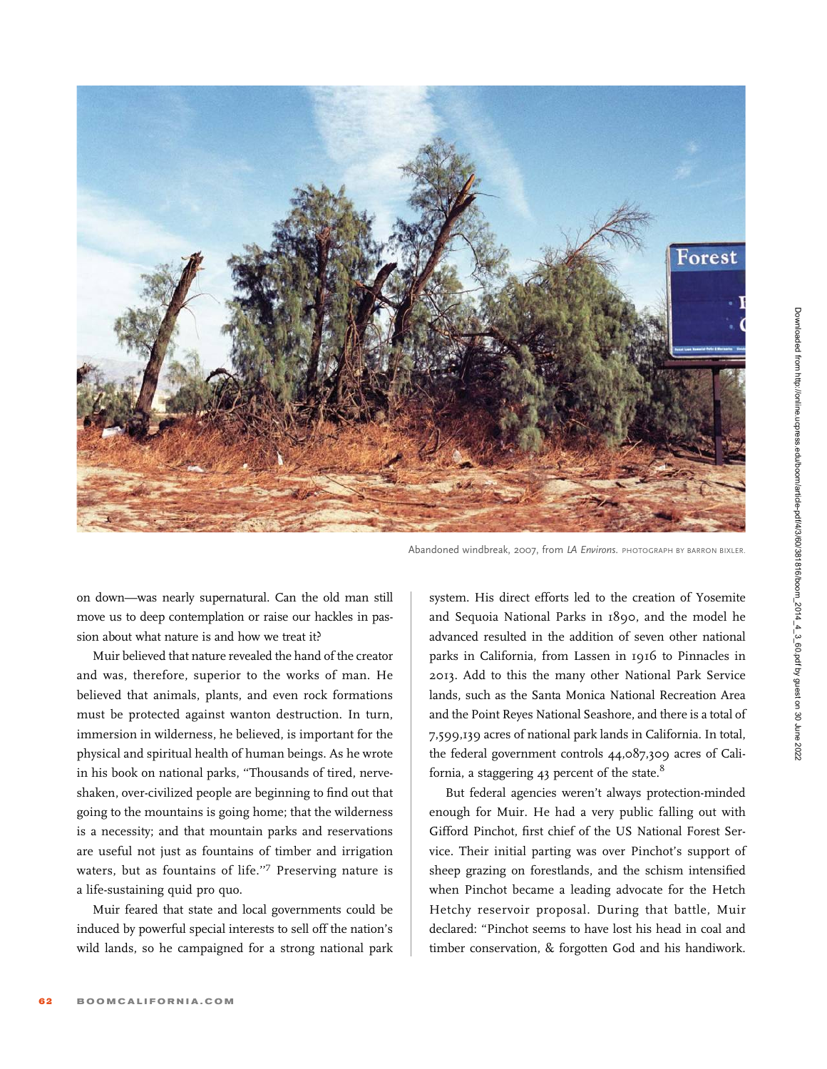

Abandoned windbreak, 2007, from LA Environs. PHOTOGRAPH BY BARRON BIXLER.

on down—was nearly supernatural. Can the old man still move us to deep contemplation or raise our hackles in passion about what nature is and how we treat it?

Muir believed that nature revealed the hand of the creator and was, therefore, superior to the works of man. He believed that animals, plants, and even rock formations must be protected against wanton destruction. In turn, immersion in wilderness, he believed, is important for the physical and spiritual health of human beings. As he wrote in his book on national parks, ''Thousands of tired, nerveshaken, over-civilized people are beginning to find out that going to the mountains is going home; that the wilderness is a necessity; and that mountain parks and reservations are useful not just as fountains of timber and irrigation waters, but as fountains of life."7 Preserving nature is a life-sustaining quid pro quo.

Muir feared that state and local governments could be induced by powerful special interests to sell off the nation's wild lands, so he campaigned for a strong national park

system. His direct efforts led to the creation of Yosemite and Sequoia National Parks in 1890, and the model he advanced resulted in the addition of seven other national parks in California, from Lassen in 1916 to Pinnacles in 2013. Add to this the many other National Park Service lands, such as the Santa Monica National Recreation Area and the Point Reyes National Seashore, and there is a total of 7,599,139 acres of national park lands in California. In total, the federal government controls 44,087,309 acres of California, a staggering 43 percent of the state. $8$ 

But federal agencies weren't always protection-minded enough for Muir. He had a very public falling out with Gifford Pinchot, first chief of the US National Forest Service. Their initial parting was over Pinchot's support of sheep grazing on forestlands, and the schism intensified when Pinchot became a leading advocate for the Hetch Hetchy reservoir proposal. During that battle, Muir declared: ''Pinchot seems to have lost his head in coal and timber conservation, & forgotten God and his handiwork.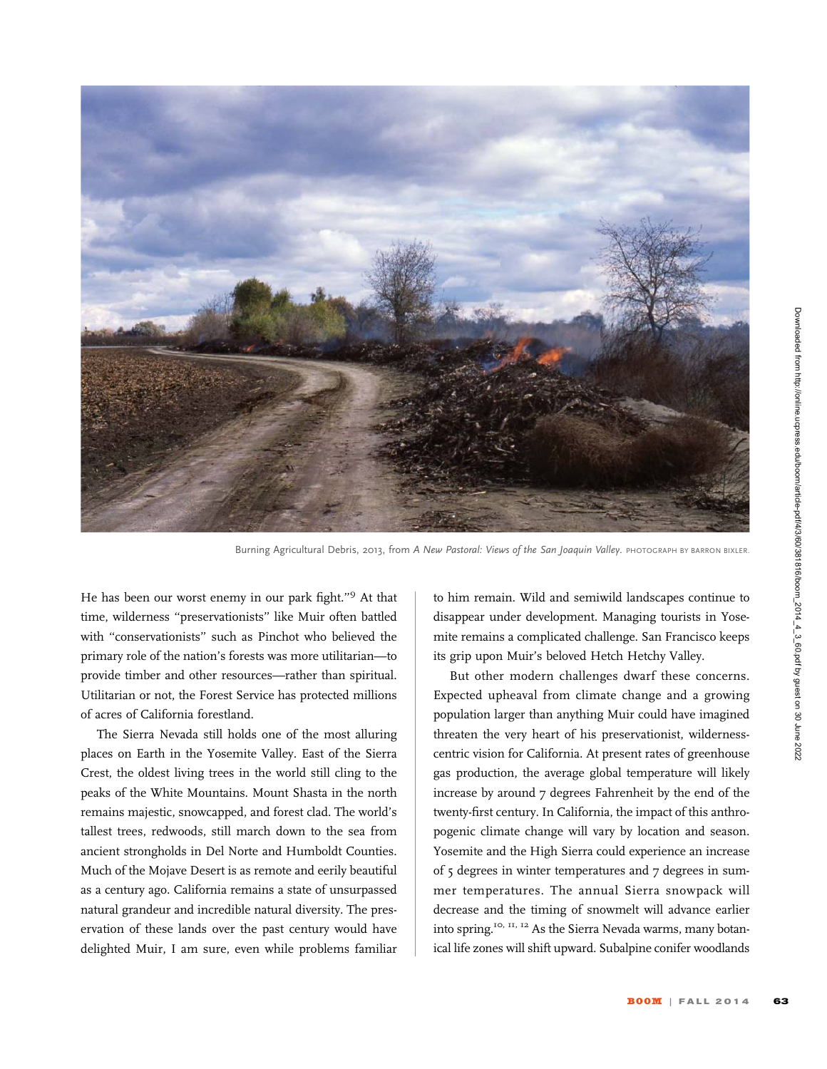

Burning Agricultural Debris, 2013, from A New Pastoral: Views of the San Joaquin Valley. PHOTOGRAPH BY BARRON BIXLER

He has been our worst enemy in our park fight.''<sup>9</sup> At that time, wilderness ''preservationists'' like Muir often battled with ''conservationists'' such as Pinchot who believed the primary role of the nation's forests was more utilitarian—to provide timber and other resources—rather than spiritual. Utilitarian or not, the Forest Service has protected millions of acres of California forestland.

The Sierra Nevada still holds one of the most alluring places on Earth in the Yosemite Valley. East of the Sierra Crest, the oldest living trees in the world still cling to the peaks of the White Mountains. Mount Shasta in the north remains majestic, snowcapped, and forest clad. The world's tallest trees, redwoods, still march down to the sea from ancient strongholds in Del Norte and Humboldt Counties. Much of the Mojave Desert is as remote and eerily beautiful as a century ago. California remains a state of unsurpassed natural grandeur and incredible natural diversity. The preservation of these lands over the past century would have delighted Muir, I am sure, even while problems familiar

to him remain. Wild and semiwild landscapes continue to disappear under development. Managing tourists in Yosemite remains a complicated challenge. San Francisco keeps its grip upon Muir's beloved Hetch Hetchy Valley.

But other modern challenges dwarf these concerns. Expected upheaval from climate change and a growing population larger than anything Muir could have imagined threaten the very heart of his preservationist, wildernesscentric vision for California. At present rates of greenhouse gas production, the average global temperature will likely increase by around 7 degrees Fahrenheit by the end of the twenty-first century. In California, the impact of this anthropogenic climate change will vary by location and season. Yosemite and the High Sierra could experience an increase of 5 degrees in winter temperatures and 7 degrees in summer temperatures. The annual Sierra snowpack will decrease and the timing of snowmelt will advance earlier into spring.10, 11, 12 As the Sierra Nevada warms, many botanical life zones will shift upward. Subalpine conifer woodlands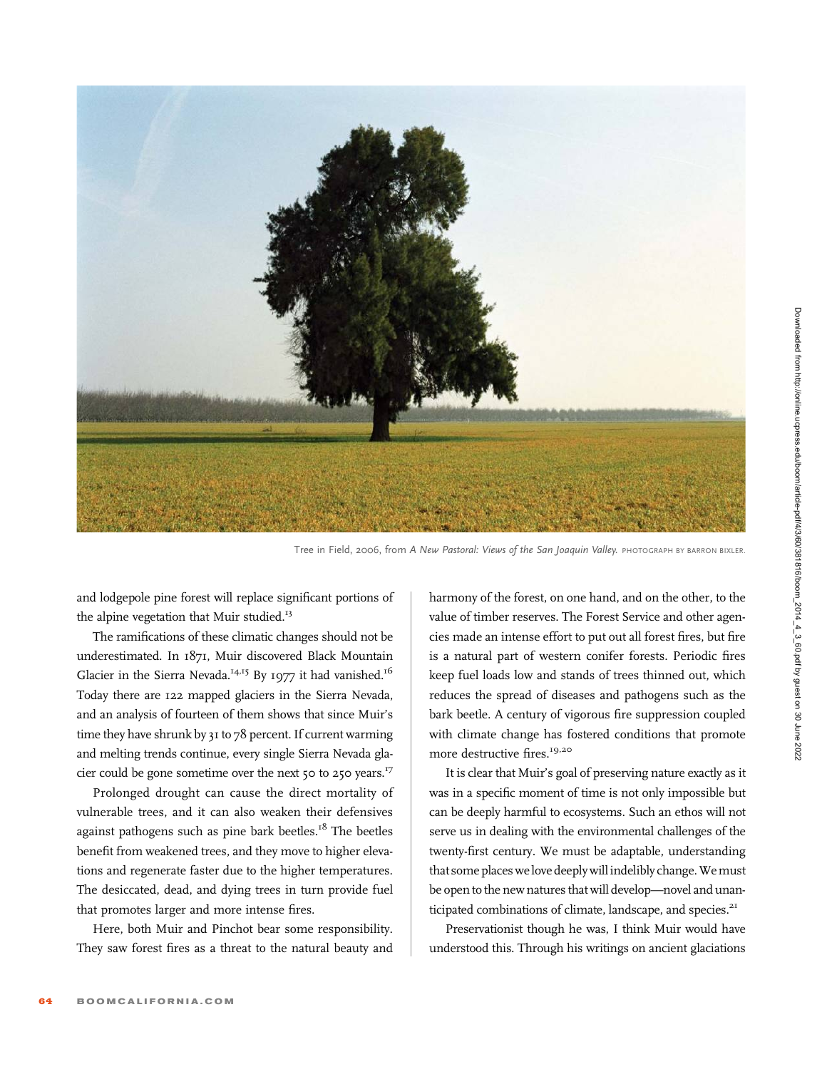

Tree in Field, 2006, from A New Pastoral: Views of the San Joaquin Valley. PHOTOGRAPH BY BARRON BIXLER.

and lodgepole pine forest will replace significant portions of the alpine vegetation that Muir studied.<sup>13</sup>

The ramifications of these climatic changes should not be underestimated. In 1871, Muir discovered Black Mountain Glacier in the Sierra Nevada.<sup>14,15</sup> By 1977 it had vanished.<sup>16</sup> Today there are 122 mapped glaciers in the Sierra Nevada, and an analysis of fourteen of them shows that since Muir's time they have shrunk by 31 to 78 percent. If current warming and melting trends continue, every single Sierra Nevada glacier could be gone sometime over the next 50 to 250 years.<sup>17</sup>

Prolonged drought can cause the direct mortality of vulnerable trees, and it can also weaken their defensives against pathogens such as pine bark beetles.<sup>18</sup> The beetles benefit from weakened trees, and they move to higher elevations and regenerate faster due to the higher temperatures. The desiccated, dead, and dying trees in turn provide fuel that promotes larger and more intense fires.

Here, both Muir and Pinchot bear some responsibility. They saw forest fires as a threat to the natural beauty and harmony of the forest, on one hand, and on the other, to the value of timber reserves. The Forest Service and other agencies made an intense effort to put out all forest fires, but fire is a natural part of western conifer forests. Periodic fires keep fuel loads low and stands of trees thinned out, which reduces the spread of diseases and pathogens such as the bark beetle. A century of vigorous fire suppression coupled with climate change has fostered conditions that promote more destructive fires.<sup>19,20</sup>

It is clear that Muir's goal of preserving nature exactly as it was in a specific moment of time is not only impossible but can be deeply harmful to ecosystems. Such an ethos will not serve us in dealing with the environmental challenges of the twenty-first century. We must be adaptable, understanding that some places we love deeply will indelibly change. We must be open to the new natures that will develop—novel and unanticipated combinations of climate, landscape, and species.<sup>21</sup>

Preservationist though he was, I think Muir would have understood this. Through his writings on ancient glaciations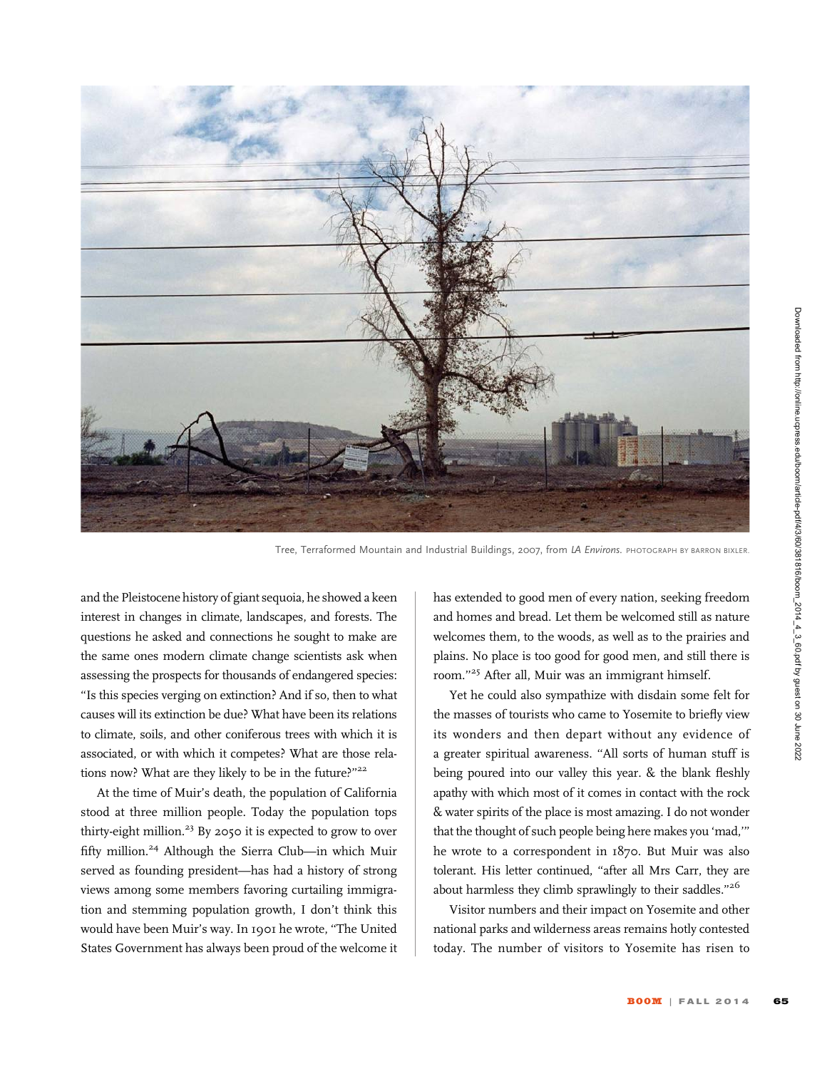

Tree, Terraformed Mountain and Industrial Buildings, 2007, from LA Environs. PHOTOGRAPH BY BARRON BIXLER.

and the Pleistocene history of giant sequoia, he showed a keen interest in changes in climate, landscapes, and forests. The questions he asked and connections he sought to make are the same ones modern climate change scientists ask when assessing the prospects for thousands of endangered species: ''Is this species verging on extinction? And if so, then to what causes will its extinction be due? What have been its relations to climate, soils, and other coniferous trees with which it is associated, or with which it competes? What are those relations now? What are they likely to be in the future?"<sup>22</sup>

At the time of Muir's death, the population of California stood at three million people. Today the population tops thirty-eight million.<sup>23</sup> By 2050 it is expected to grow to over fifty million.<sup>24</sup> Although the Sierra Club—in which Muir served as founding president—has had a history of strong views among some members favoring curtailing immigration and stemming population growth, I don't think this would have been Muir's way. In 1901 he wrote, ''The United States Government has always been proud of the welcome it

has extended to good men of every nation, seeking freedom and homes and bread. Let them be welcomed still as nature welcomes them, to the woods, as well as to the prairies and plains. No place is too good for good men, and still there is room.''<sup>25</sup> After all, Muir was an immigrant himself.

Yet he could also sympathize with disdain some felt for the masses of tourists who came to Yosemite to briefly view its wonders and then depart without any evidence of a greater spiritual awareness. ''All sorts of human stuff is being poured into our valley this year. & the blank fleshly apathy with which most of it comes in contact with the rock & water spirits of the place is most amazing. I do not wonder that the thought of such people being here makes you 'mad,''' he wrote to a correspondent in 1870. But Muir was also tolerant. His letter continued, "after all Mrs Carr, they are about harmless they climb sprawlingly to their saddles."26

Visitor numbers and their impact on Yosemite and other national parks and wilderness areas remains hotly contested today. The number of visitors to Yosemite has risen to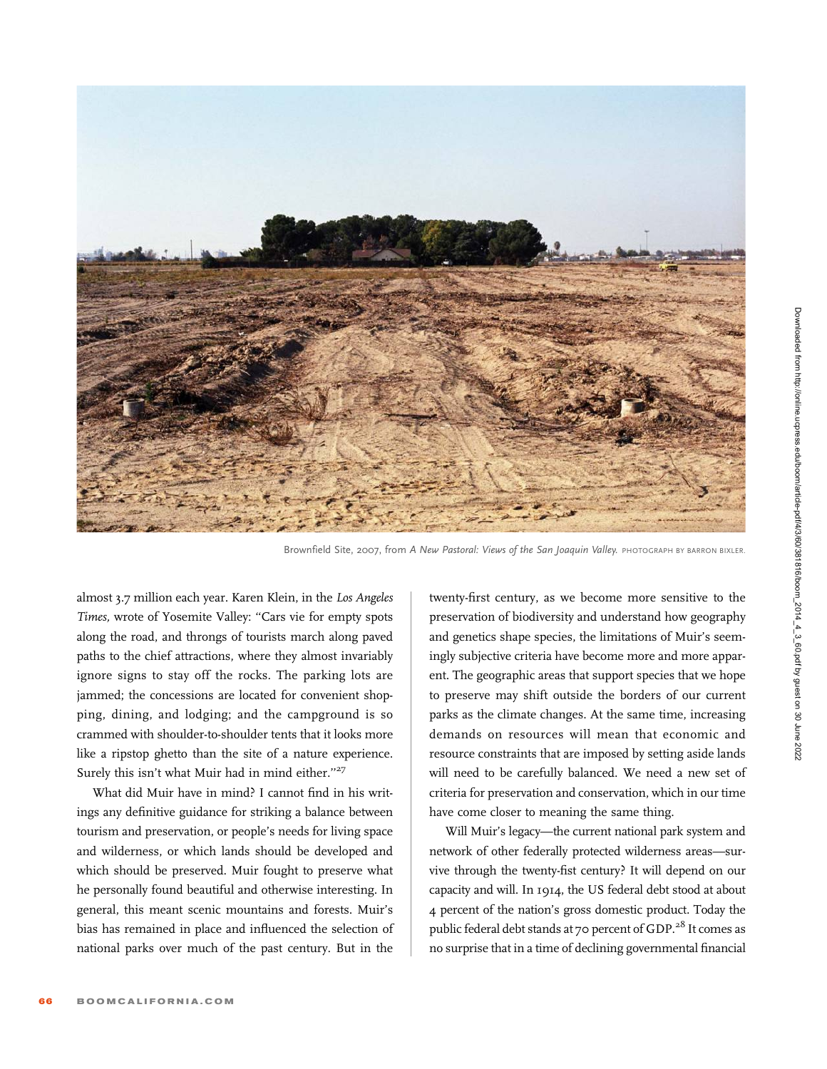

Brownfield Site, 2007, from A New Pastoral: Views of the San Joaquin Valley. PHOTOGRAPH BY BARRON BIXLER.

almost 3.7 million each year. Karen Klein, in the Los Angeles Times, wrote of Yosemite Valley: ''Cars vie for empty spots along the road, and throngs of tourists march along paved paths to the chief attractions, where they almost invariably ignore signs to stay off the rocks. The parking lots are jammed; the concessions are located for convenient shopping, dining, and lodging; and the campground is so crammed with shoulder-to-shoulder tents that it looks more like a ripstop ghetto than the site of a nature experience. Surely this isn't what Muir had in mind either."<sup>27</sup>

What did Muir have in mind? I cannot find in his writings any definitive guidance for striking a balance between tourism and preservation, or people's needs for living space and wilderness, or which lands should be developed and which should be preserved. Muir fought to preserve what he personally found beautiful and otherwise interesting. In general, this meant scenic mountains and forests. Muir's bias has remained in place and influenced the selection of national parks over much of the past century. But in the

twenty-first century, as we become more sensitive to the preservation of biodiversity and understand how geography and genetics shape species, the limitations of Muir's seemingly subjective criteria have become more and more apparent. The geographic areas that support species that we hope to preserve may shift outside the borders of our current parks as the climate changes. At the same time, increasing demands on resources will mean that economic and resource constraints that are imposed by setting aside lands will need to be carefully balanced. We need a new set of criteria for preservation and conservation, which in our time have come closer to meaning the same thing.

Will Muir's legacy—the current national park system and network of other federally protected wilderness areas—survive through the twenty-fist century? It will depend on our capacity and will. In 1914, the US federal debt stood at about 4 percent of the nation's gross domestic product. Today the public federal debt stands at 70 percent of GDP.<sup>28</sup> It comes as no surprise that in a time of declining governmental financial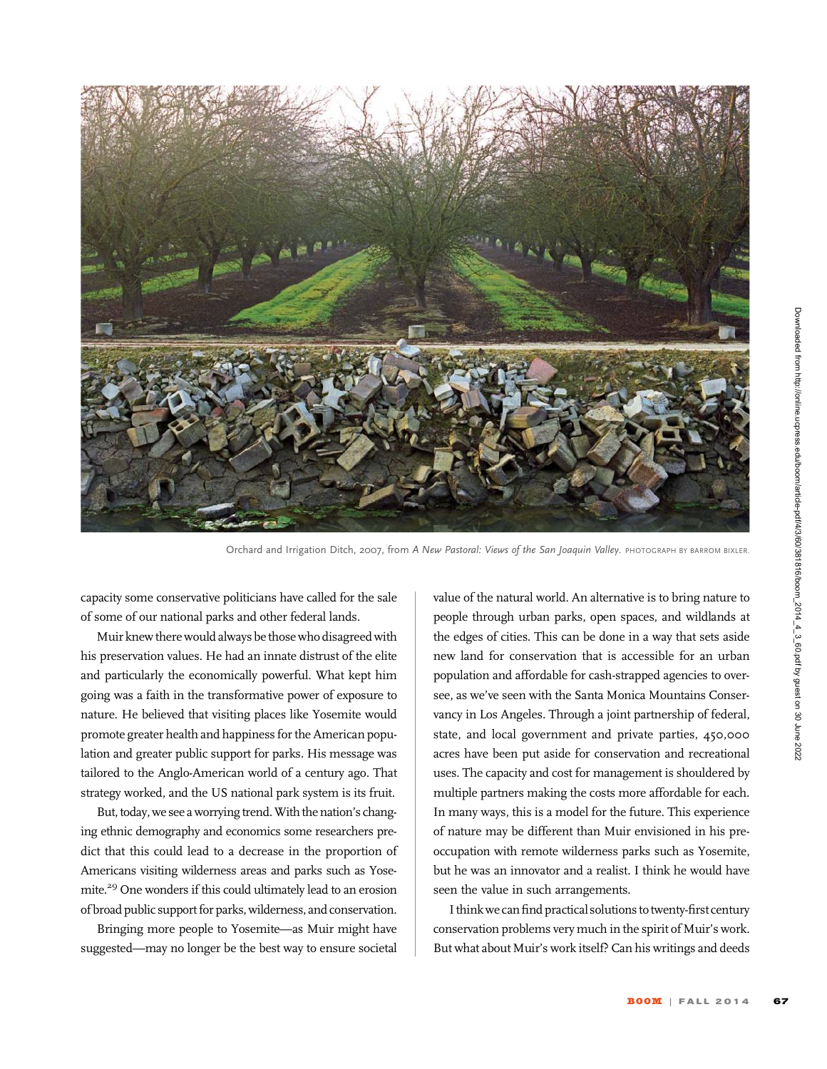

Orchard and Irrigation Ditch, 2007, from A New Pastoral: Views of the San Joaquin Valley. PHOTOGRAPH BY BARROM BIXLER.

capacity some conservative politicians have called for the sale of some of our national parks and other federal lands.

Muir knew there would always be those who disagreed with his preservation values. He had an innate distrust of the elite and particularly the economically powerful. What kept him going was a faith in the transformative power of exposure to nature. He believed that visiting places like Yosemite would promote greater health and happiness for the American population and greater public support for parks. His message was tailored to the Anglo-American world of a century ago. That strategy worked, and the US national park system is its fruit.

But, today, we see a worrying trend. With the nation's changing ethnic demography and economics some researchers predict that this could lead to a decrease in the proportion of Americans visiting wilderness areas and parks such as Yosemite.29 One wonders if this could ultimately lead to an erosion of broad public support for parks, wilderness, and conservation.

Bringing more people to Yosemite—as Muir might have suggested—may no longer be the best way to ensure societal

value of the natural world. An alternative is to bring nature to people through urban parks, open spaces, and wildlands at the edges of cities. This can be done in a way that sets aside new land for conservation that is accessible for an urban population and affordable for cash-strapped agencies to oversee, as we've seen with the Santa Monica Mountains Conservancy in Los Angeles. Through a joint partnership of federal, state, and local government and private parties, 450,000 acres have been put aside for conservation and recreational uses. The capacity and cost for management is shouldered by multiple partners making the costs more affordable for each. In many ways, this is a model for the future. This experience of nature may be different than Muir envisioned in his preoccupation with remote wilderness parks such as Yosemite, but he was an innovator and a realist. I think he would have seen the value in such arrangements.

I think we can find practical solutions to twenty-first century conservation problems very much in the spirit of Muir's work. But what about Muir's work itself? Can his writings and deeds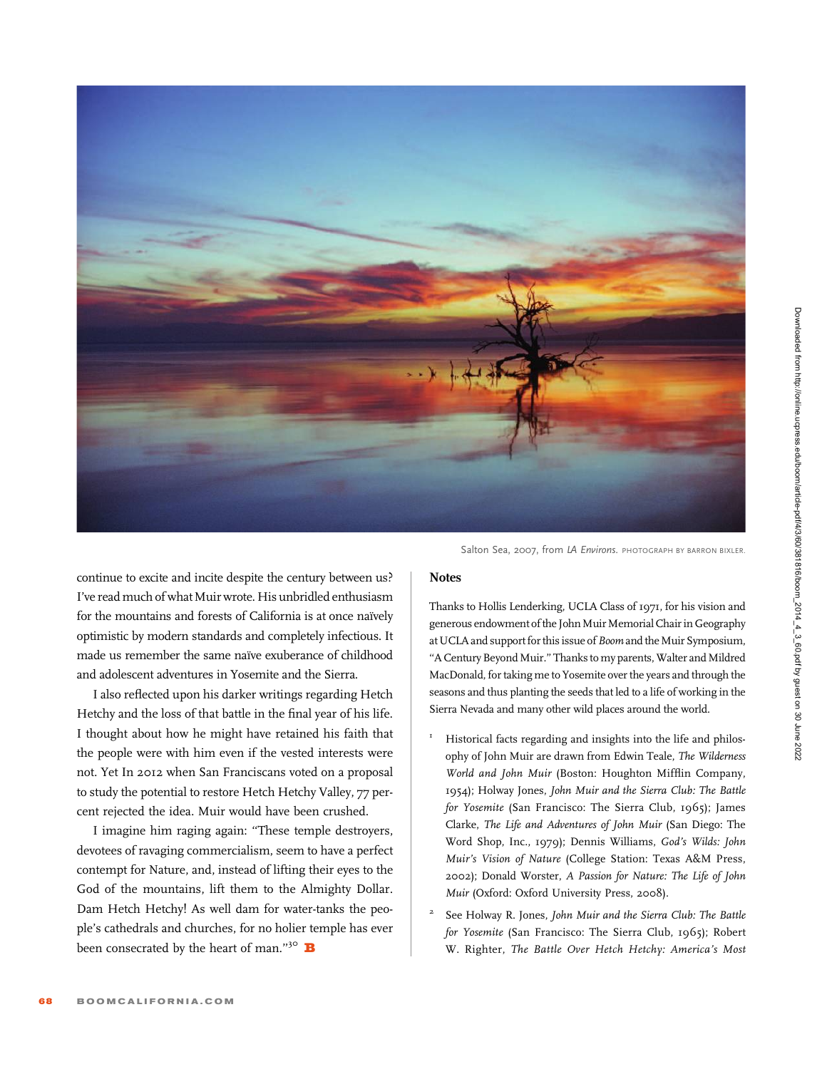

Salton Sea, 2007, from LA Environs. PHOTOGRAPH BY BARRON BIXLER.

continue to excite and incite despite the century between us? I've read much of what Muir wrote. His unbridled enthusiasm for the mountains and forests of California is at once naïvely optimistic by modern standards and completely infectious. It made us remember the same naïve exuberance of childhood and adolescent adventures in Yosemite and the Sierra.

I also reflected upon his darker writings regarding Hetch Hetchy and the loss of that battle in the final year of his life. I thought about how he might have retained his faith that the people were with him even if the vested interests were not. Yet In 2012 when San Franciscans voted on a proposal to study the potential to restore Hetch Hetchy Valley, 77 percent rejected the idea. Muir would have been crushed.

I imagine him raging again: ''These temple destroyers, devotees of ravaging commercialism, seem to have a perfect contempt for Nature, and, instead of lifting their eyes to the God of the mountains, lift them to the Almighty Dollar. Dam Hetch Hetchy! As well dam for water-tanks the people's cathedrals and churches, for no holier temple has ever been consecrated by the heart of man."<sup>30</sup>  $\mathbf B$ 

## **Notes**

Thanks to Hollis Lenderking, UCLA Class of 1971, for his vision and generous endowment of the John Muir Memorial Chair in Geography at UCLA and support for this issue of Boom and the Muir Symposium, ''A Century Beyond Muir.'' Thanks to my parents, Walter and Mildred MacDonald, for taking me to Yosemite over the years and through the seasons and thus planting the seeds that led to a life of working in the Sierra Nevada and many other wild places around the world.

- Historical facts regarding and insights into the life and philosophy of John Muir are drawn from Edwin Teale, The Wilderness World and John Muir (Boston: Houghton Mifflin Company, 1954); Holway Jones, John Muir and the Sierra Club: The Battle for Yosemite (San Francisco: The Sierra Club, 1965); James Clarke, The Life and Adventures of John Muir (San Diego: The Word Shop, Inc., 1979); Dennis Williams, God's Wilds: John Muir's Vision of Nature (College Station: Texas A&M Press, 2002); Donald Worster, A Passion for Nature: The Life of John Muir (Oxford: Oxford University Press, 2008).
- <sup>2</sup> See Holway R. Jones, John Muir and the Sierra Club: The Battle for Yosemite (San Francisco: The Sierra Club, 1965); Robert W. Righter, The Battle Over Hetch Hetchy: America's Most